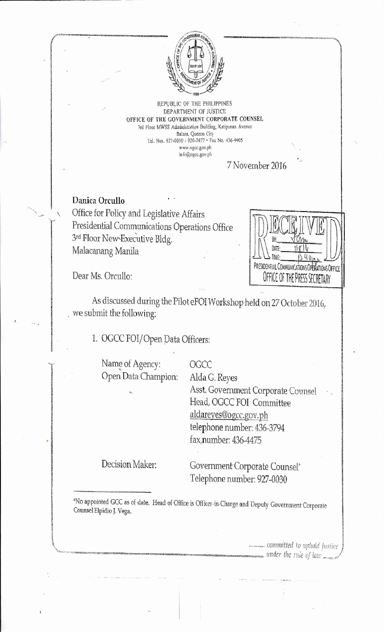

REPUBLIC OF THE PHILIPPINES DEPARTMENT OF JUSTICE; OFFICE OF THE GOVERNMENT CORPORATE COUNSEL 3rd Floor MWSS Administration Building, Katipunan Avenue Balm, Quezon City Tel, Nos. 927-0030 / 920-7477 • Fax No. 436-4405 www\_agcc,gov.ph in fo@ogcc.gov.ph

7 November 2016

Danica Orcullo Office for Policy and Legislative Affairs Presidential Communications Operations Office 3rd Floor New-Executive Bldg. Malacanang Manila

UAIL. PRESIDENTIAL COMMUNICATIONS OPERATIONS OFFICE OFFICE OF THE PRESS SECRETARY

Dear Ms. Orcullo:

As discussed during the Pilot eFOI Workshop held on 27 October 2016, we submit the following;

1. OGCC FO1/Open pata Officers:

Name of Agency: OGCC Open Data Champion; Alda G. Reyes

Asst. Government Corporate Counsel Head, OGCC F01 Committee aldareyes©ogcc.gov.ph telephone number: 436-3794 fax number: 436-4475

Decision Maker: Government Corporate Counsel\* Telephone number: 927-0030

\*No appointed GCC as of date. Head of Office is Officer-in-Charge and Deputy Government Corporate Counsel Elpidio J. Vega.

> *committed to uphold justice*  $_{\bullet}$  under the rule of law  $_{\bullet}$